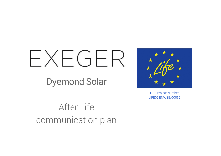# $X \vdash G \vdash \mathsf{R}$

Dyemond Solar



LIFE Project Number LIFE09 ENV/SE/00035

After Life communication plan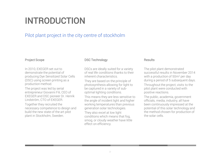# INTRODUCTION

## Pilot plant project in the city centre of stockholm

#### Project Scope

In 2010, EXEGER set out to demonstrate the potential of producing Dye Sensitized Solar Cells (DSC) using screen printing as a production method.

The project was led by serial entrepreneur Giovanni Fili, CEO of EXEGER and DSC pioneer Dr. Henrik Lindström, CTO of EXEGER.

Together they recruited the necessary competence to design and build the new state of the art pilot plant in Stockholm, Sweden.

#### DSC Technology

DSCs are ideally suited for a variety of real life conditions thanks to their inherent characteristics.

They are based on the principle of photosynthesis allowing for light to be captured in a variety of suboptimal lighting conditions.

This means they are less sensitive to the angle of incident light and higher working temperatures than previous generation solar technologies.

They also excel at low light conditions which means that fog, smog, or cloudy weather have little effect on efficiency.

#### Results

The pilot plant demonstrated successful results in November 2014 with a production of 50m<sup>2</sup> per day during a period of 5 subsequent days. Throughout the project, visits to the pilot plant were conducted with positive reactions.

The public, academia, government officials, media, industry, all have been continuously impressed at the potential of this solar technology and the method chosen for production of the solar cells.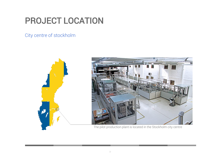# PROJECT LOCATION

City centre of stockholm

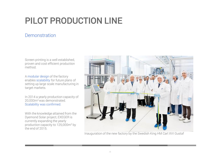# PILOT PRODUCTION LINE

## Demonstration

Screen printing is a well established, proven and cost efficient production method.

A modular design of the factory enables scalability for future plans of setting up large scale manufacturing in target markets.

In 2014 a yearly production capacity of 20,000m<sup>2</sup>was demonstrated. Scalability was confirmed.

With the knowledge attained from the Dyemond Solar project, EXEGER is currently expanding the yearly production capacity to 125,000m<sup>2</sup> by the end of 2015.



Inauguration of the new factory by the Swedish King HM Carl XVI Gustaf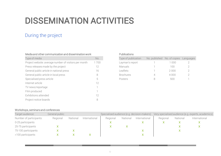# DISSEMINATION ACTIVITIES

## During the project

| Type of media                                         | No.  |
|-------------------------------------------------------|------|
| Project website: average number of visitors per month | 1700 |
| Press releases made by the project                    | 12   |
| General public article in national press              | 16   |
| General public article in local press                 | 8    |
| Specialised press article                             | 5    |
| Internet article                                      | 12   |
| TV news/reportage                                     | 1    |
| Film produced                                         | 1    |
| Exhibitions attended                                  | 12   |
| Project notice boards                                 | 8    |

#### Publications

| Type of publication | No. published No. of copies Languages |  |
|---------------------|---------------------------------------|--|
| Layman's report     | 1 000                                 |  |
| Manuals             | 100                                   |  |
| Leaflets            | 2000                                  |  |
| <b>Brochures</b>    | 4000                                  |  |
| Posters             | 5(1)                                  |  |

#### Workshops, seminars and conferences

| Target audience:        | General public |          |               | Specialised audience (e.g. decision-makers) |          |               | Very specialised audience (e.g. experts, academics) |          |               |
|-------------------------|----------------|----------|---------------|---------------------------------------------|----------|---------------|-----------------------------------------------------|----------|---------------|
| Number of participants: | Regional       | National | International | Regional                                    | National | International | Regional                                            | National | International |
| 0-25 participants       |                |          |               |                                             |          |               |                                                     |          |               |
| 25-75 participants      |                |          |               |                                             |          |               |                                                     |          |               |
| 75-100 participants     |                |          |               |                                             |          |               |                                                     |          |               |
| >100 participants       |                |          |               |                                             |          |               |                                                     |          |               |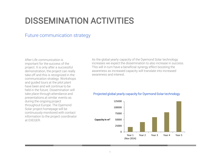## DISSEMINATION ACTIVITIES

### Future communication strategy

After-Life communication is important for the success of the project. It is only after a successful demonstration, the project can really take off and this is recognized in the communication strategy. Workshops and guided tours at the pilot plant have been and will continue to be held in the future. Dissemination will take place through attendance and presentations at similar events as during the ongoing project throughout Europe. The Dyemond Solar project homepage will be continuously monitored with contact information to the project coordinator at EXEGER.

As the global yearly capacity of the Dyemond Solar technology increases we expect the dissemination to also increase in success. This will in turn have a beneficial synergy effect boosting the awareness as increased capacity will translate into increased awareness and interest.

#### Projected global yearly capacity for Dyemond Solar technology

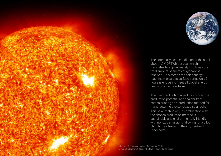

The potentially usable radiation of the sun is about 1.9x10<sup>8</sup> TWh per year which translates to approximately 170 times the total amount of energy of global coal reserves. This means the solar energy reaching the earth's surface during only 6 hours is enough to meet all global energy needs on an annual basis.<sup>1</sup>

The Dyemond Solar project has proved the production potential and scalability of screen printing as a production method for manufacturing dye sensitized solar cells. This solar technology in combination with the chosen production method is sustainable and environmentally friendly with no toxic emissions, allowing for a pilot plant to be situated in the city centre of Stockholm.

<sup>1</sup>Source: "Sustainable Energy Management" 2012 Mirjana Radovanović (Golusin), Stevan Popov, Sinisa Dodic